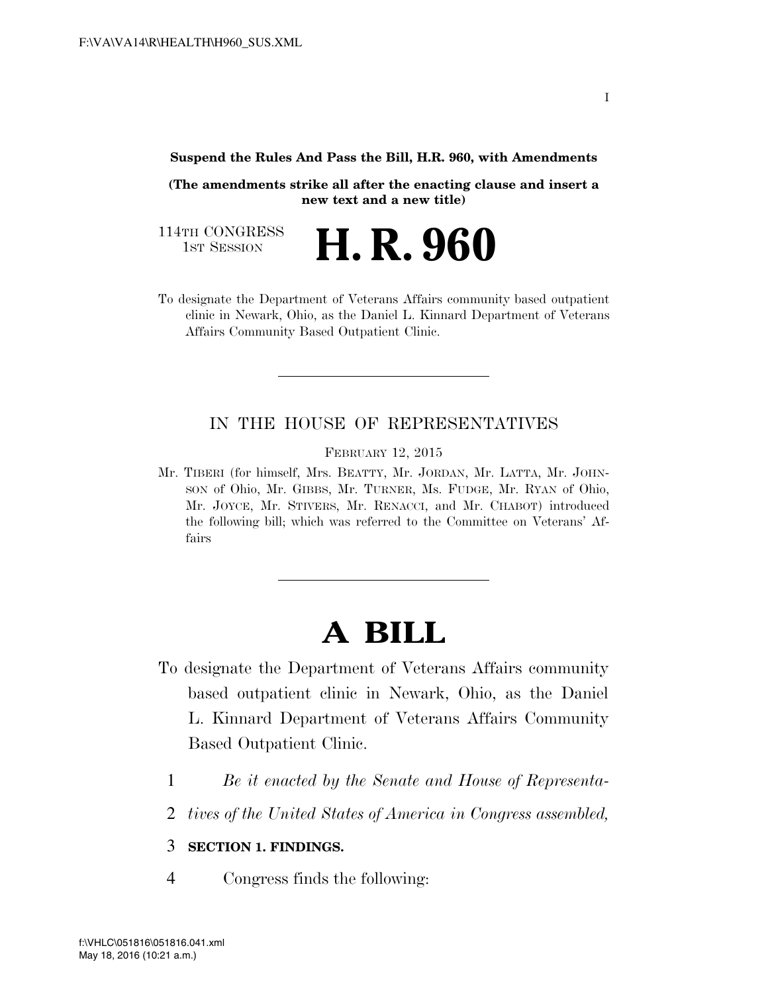**Suspend the Rules And Pass the Bill, H.R. 960, with Amendments** 

**(The amendments strike all after the enacting clause and insert a new text and a new title)** 

114TH CONGRESS

TH CONGRESS **H. R. 960** 

To designate the Department of Veterans Affairs community based outpatient clinic in Newark, Ohio, as the Daniel L. Kinnard Department of Veterans Affairs Community Based Outpatient Clinic.

## IN THE HOUSE OF REPRESENTATIVES

FEBRUARY 12, 2015

Mr. TIBERI (for himself, Mrs. BEATTY, Mr. JORDAN, Mr. LATTA, Mr. JOHN-SON of Ohio, Mr. GIBBS, Mr. TURNER, Ms. FUDGE, Mr. RYAN of Ohio, Mr. JOYCE, Mr. STIVERS, Mr. RENACCI, and Mr. CHABOT) introduced the following bill; which was referred to the Committee on Veterans' Affairs

## **A BILL**

- To designate the Department of Veterans Affairs community based outpatient clinic in Newark, Ohio, as the Daniel L. Kinnard Department of Veterans Affairs Community Based Outpatient Clinic.
	- 1 *Be it enacted by the Senate and House of Representa-*
	- 2 *tives of the United States of America in Congress assembled,*

## 3 **SECTION 1. FINDINGS.**

4 Congress finds the following: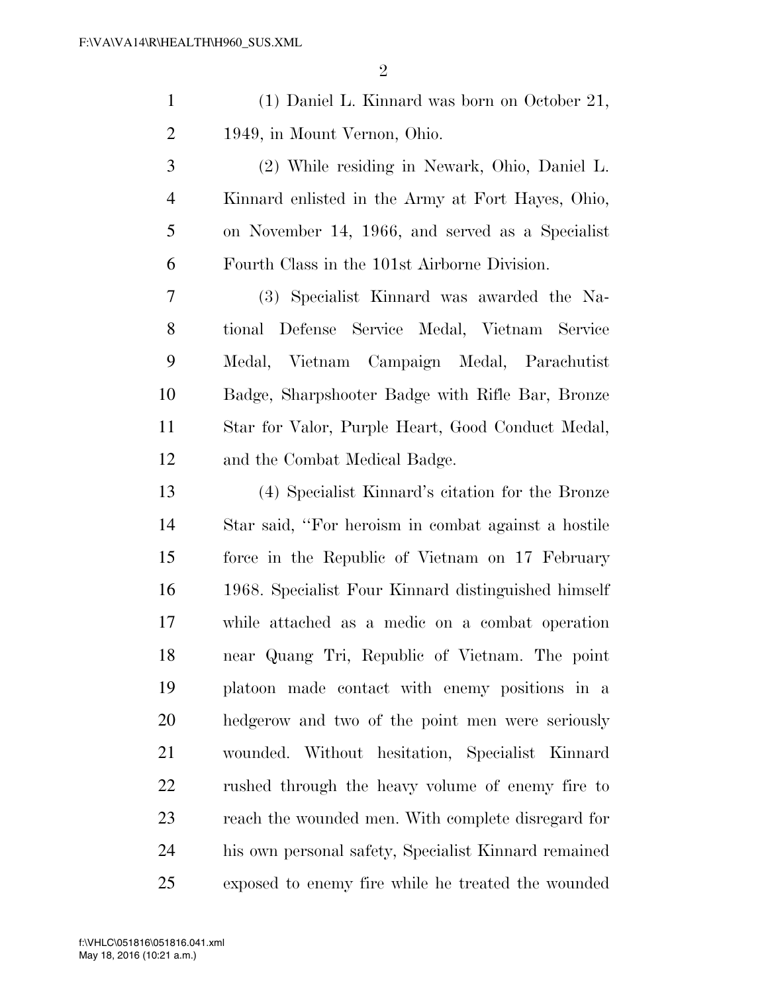|               | $(1)$ Daniel L. Kinnard was born on October 21, |
|---------------|-------------------------------------------------|
| 2             | 1949, in Mount Vernon, Ohio.                    |
| $\mathcal{R}$ | (2) While residing in Newark, Ohio, Daniel L.   |

 Kinnard enlisted in the Army at Fort Hayes, Ohio, on November 14, 1966, and served as a Specialist Fourth Class in the 101st Airborne Division.

 (3) Specialist Kinnard was awarded the Na- tional Defense Service Medal, Vietnam Service Medal, Vietnam Campaign Medal, Parachutist Badge, Sharpshooter Badge with Rifle Bar, Bronze Star for Valor, Purple Heart, Good Conduct Medal, and the Combat Medical Badge.

 (4) Specialist Kinnard's citation for the Bronze Star said, ''For heroism in combat against a hostile force in the Republic of Vietnam on 17 February 1968. Specialist Four Kinnard distinguished himself while attached as a medic on a combat operation near Quang Tri, Republic of Vietnam. The point platoon made contact with enemy positions in a hedgerow and two of the point men were seriously wounded. Without hesitation, Specialist Kinnard rushed through the heavy volume of enemy fire to reach the wounded men. With complete disregard for his own personal safety, Specialist Kinnard remained exposed to enemy fire while he treated the wounded